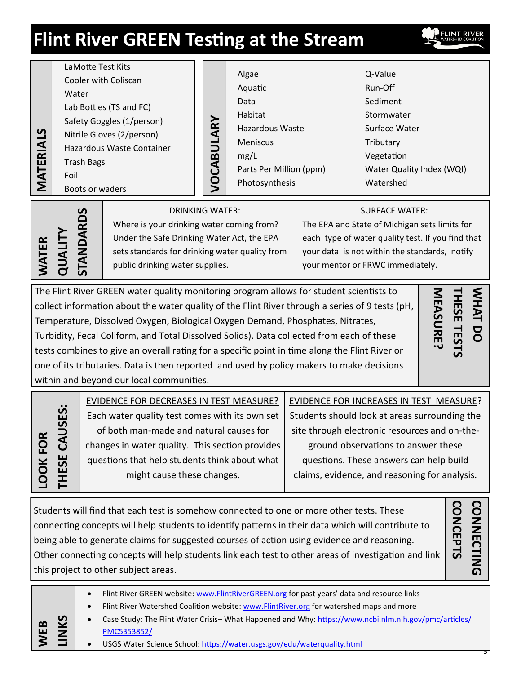# **Flint River GREEN Testing at the Stream**

Algae Aquatic Data Habitat Q-Value Run-Off Sediment Stormwater **VOCABULARY**

Hazardous Waste Meniscus mg/L Parts Per Million (ppm) Photosynthesis

Surface Water **Tributary** Vegetation Water Quality Index (WQI) Watershed

LaMotte Test Kits Cooler with Coliscan

Lab Bottles (TS and FC) Safety Goggles (1/person) Nitrile Gloves (2/person) Hazardous Waste Container

Water

Trash Bags

Boots or waders

Foil

**MATERIALS**

**WEB** 

**LOOK FOR** 

**LINKS**

DRINKING WATER:

Where is your drinking water coming from? Under the Safe Drinking Water Act, the EPA sets standards for drinking water quality from public drinking water supplies.

# SURFACE WATER:

The EPA and State of Michigan sets limits for each type of water quality test. If you find that your data is not within the standards, notify your mentor or FRWC immediately.

Increases test measurements of the control of the control of the control of the control of the control of the control of the control of the control of the control of the control of the control of the control of the control run die hate spaaty et die statistise anteigna eerste ere teet.<br>Vegetated stream banks The Flint River GREEN water quality monitoring program allows for student scientists to collect information about the water quality of the Flint River through a series of 9 tests (pH, Temperature, Dissolved Oxygen, Biological Oxygen Demand, Phosphates, Nitrates, Turbidity, Fecal Coliform, and Total Dissolved Solids). Data collected from each of these tests combines to give an overall rating for a specific point in time along the Flint River or one of its tributaries. Data is then reported and used by policy makers to make decisions within and beyond our local communities.

**THESE TESTS**  WHAT DO **WHAT DO MEASURE?** THESE TE **MEASURE? MHAT DO HESE TEST** 

|                       | EVIDENCE FOR DECREASES IN TEST MEASURE?         | EVIDENCE FOR INCREASES IN TEST MEASURE?       |
|-----------------------|-------------------------------------------------|-----------------------------------------------|
| <u>;</u><br><b>US</b> | Each water quality test comes with its own set  | Students should look at areas surrounding the |
|                       | of both man-made and natural causes for         | site through electronic resources and on-the- |
| ₹                     | changes in water quality. This section provides | ground observations to answer these           |
| IESE                  | questions that help students think about what   | questions. These answers can help build       |
|                       | might cause these changes.                      | claims, evidence, and reasoning for analysis. |
|                       |                                                 |                                               |

Students will find that each test is somehow connected to one or more other tests. These connecting concepts will help students to identify patterns in their data which will contribute to being able to generate claims for suggested courses of action using evidence and reasoning. Other connecting concepts will help students link each test to other areas of investigation and link this project to other subject areas.

**CONCEPTS CONNECTING** CONCEPTS **CONNECTING** 

| • Flint River GREEN website: www.FlintRiverGREEN.org for past years' data and resource links |  |
|----------------------------------------------------------------------------------------------|--|
|                                                                                              |  |

- Flint River Watershed Coalition website: [www.FlintRiver.org](http://flintriver.org/blog/) for watershed maps and more
- Case Study: The Flint Water Crisis– What Happened and Why: [https://www.ncbi.nlm.nih.gov/pmc/articles/](https://www.ncbi.nlm.nih.gov/pmc/articles/PMC5353852/) [PMC5353852/](https://www.ncbi.nlm.nih.gov/pmc/articles/PMC5353852/)
- USGS Water Science School:<https://water.usgs.gov/edu/waterquality.html>